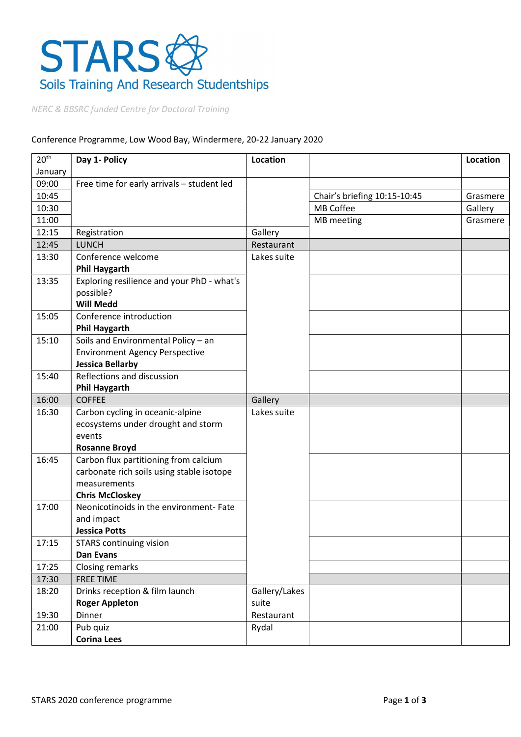

NERC & BBSRC funded Centre for Doctoral Training

## Conference Programme, Low Wood Bay, Windermere, 20-22 January 2020

| 20 <sup>th</sup> | Day 1- Policy                                               | Location      |                              | <b>Location</b> |
|------------------|-------------------------------------------------------------|---------------|------------------------------|-----------------|
| January          |                                                             |               |                              |                 |
| 09:00            | Free time for early arrivals - student led                  |               |                              |                 |
| 10:45            |                                                             |               | Chair's briefing 10:15-10:45 | Grasmere        |
| 10:30            |                                                             |               | MB Coffee                    | Gallery         |
| 11:00            |                                                             |               | MB meeting                   | Grasmere        |
| 12:15            | Registration                                                | Gallery       |                              |                 |
| 12:45            | <b>LUNCH</b>                                                | Restaurant    |                              |                 |
| 13:30            | Conference welcome<br><b>Phil Haygarth</b>                  | Lakes suite   |                              |                 |
| 13:35            | Exploring resilience and your PhD - what's<br>possible?     |               |                              |                 |
|                  | <b>Will Medd</b>                                            |               |                              |                 |
| 15:05            | Conference introduction                                     |               |                              |                 |
| 15:10            | <b>Phil Haygarth</b><br>Soils and Environmental Policy - an |               |                              |                 |
|                  | <b>Environment Agency Perspective</b>                       |               |                              |                 |
|                  | <b>Jessica Bellarby</b>                                     |               |                              |                 |
| 15:40            | Reflections and discussion                                  |               |                              |                 |
|                  | <b>Phil Haygarth</b>                                        |               |                              |                 |
| 16:00            | <b>COFFEE</b>                                               | Gallery       |                              |                 |
| 16:30            | Carbon cycling in oceanic-alpine                            | Lakes suite   |                              |                 |
|                  | ecosystems under drought and storm                          |               |                              |                 |
|                  | events                                                      |               |                              |                 |
|                  | <b>Rosanne Broyd</b>                                        |               |                              |                 |
| 16:45            | Carbon flux partitioning from calcium                       |               |                              |                 |
|                  | carbonate rich soils using stable isotope                   |               |                              |                 |
|                  | measurements                                                |               |                              |                 |
|                  | <b>Chris McCloskey</b>                                      |               |                              |                 |
| 17:00            | Neonicotinoids in the environment- Fate                     |               |                              |                 |
|                  | and impact                                                  |               |                              |                 |
|                  | <b>Jessica Potts</b>                                        |               |                              |                 |
| 17:15            | <b>STARS</b> continuing vision                              |               |                              |                 |
|                  | Dan Evans                                                   |               |                              |                 |
| 17:25            | Closing remarks                                             |               |                              |                 |
| 17:30            | <b>FREE TIME</b>                                            |               |                              |                 |
| 18:20            | Drinks reception & film launch                              | Gallery/Lakes |                              |                 |
|                  | <b>Roger Appleton</b>                                       | suite         |                              |                 |
| 19:30            | Dinner                                                      | Restaurant    |                              |                 |
| 21:00            | Pub quiz                                                    | Rydal         |                              |                 |
|                  | <b>Corina Lees</b>                                          |               |                              |                 |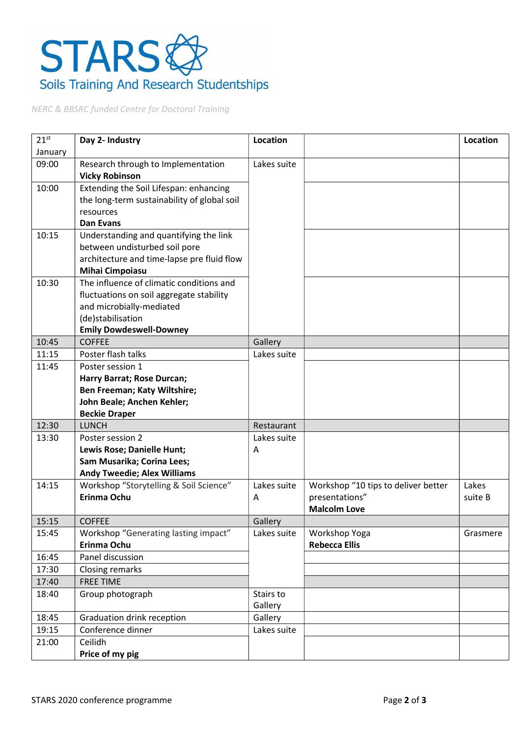## STARS Soils Training And Research Studentships

NERC & BBSRC funded Centre for Doctoral Training

| $21^{st}$ | Day 2- Industry                             | Location    |                                       | Location |
|-----------|---------------------------------------------|-------------|---------------------------------------|----------|
| January   |                                             |             |                                       |          |
| 09:00     | Research through to Implementation          | Lakes suite |                                       |          |
|           | <b>Vicky Robinson</b>                       |             |                                       |          |
| 10:00     | Extending the Soil Lifespan: enhancing      |             |                                       |          |
|           | the long-term sustainability of global soil |             |                                       |          |
|           | resources                                   |             |                                       |          |
|           | <b>Dan Evans</b>                            |             |                                       |          |
| 10:15     | Understanding and quantifying the link      |             |                                       |          |
|           | between undisturbed soil pore               |             |                                       |          |
|           | architecture and time-lapse pre fluid flow  |             |                                       |          |
|           | <b>Mihai Cimpoiasu</b>                      |             |                                       |          |
| 10:30     | The influence of climatic conditions and    |             |                                       |          |
|           | fluctuations on soil aggregate stability    |             |                                       |          |
|           | and microbially-mediated                    |             |                                       |          |
|           | (de)stabilisation                           |             |                                       |          |
|           | <b>Emily Dowdeswell-Downey</b>              |             |                                       |          |
| 10:45     | <b>COFFEE</b>                               | Gallery     |                                       |          |
| 11:15     | Poster flash talks                          | Lakes suite |                                       |          |
| 11:45     | Poster session 1                            |             |                                       |          |
|           | Harry Barrat; Rose Durcan;                  |             |                                       |          |
|           | Ben Freeman; Katy Wiltshire;                |             |                                       |          |
|           | John Beale; Anchen Kehler;                  |             |                                       |          |
|           | <b>Beckie Draper</b>                        |             |                                       |          |
| 12:30     | <b>LUNCH</b>                                | Restaurant  |                                       |          |
| 13:30     | Poster session 2                            | Lakes suite |                                       |          |
|           | Lewis Rose; Danielle Hunt;                  | Α           |                                       |          |
|           | Sam Musarika; Corina Lees;                  |             |                                       |          |
|           | <b>Andy Tweedie; Alex Williams</b>          |             |                                       |          |
| 14:15     | Workshop "Storytelling & Soil Science"      | Lakes suite | Workshop "10 tips to deliver better   | Lakes    |
|           | Erinma Ochu                                 | A           | presentations"                        | suite B  |
|           |                                             |             | <b>Malcolm Love</b>                   |          |
| 15:15     | <b>COFFEE</b>                               | Gallery     |                                       |          |
| 15:45     | Workshop "Generating lasting impact"        | Lakes suite | Workshop Yoga<br><b>Rebecca Ellis</b> | Grasmere |
| 16:45     | Erinma Ochu<br>Panel discussion             |             |                                       |          |
| 17:30     |                                             |             |                                       |          |
|           | Closing remarks                             |             |                                       |          |
| 17:40     | <b>FREE TIME</b>                            |             |                                       |          |
| 18:40     | Group photograph                            | Stairs to   |                                       |          |
|           |                                             | Gallery     |                                       |          |
| 18:45     | Graduation drink reception                  | Gallery     |                                       |          |
| 19:15     | Conference dinner                           | Lakes suite |                                       |          |
| 21:00     | Ceilidh                                     |             |                                       |          |
|           | Price of my pig                             |             |                                       |          |